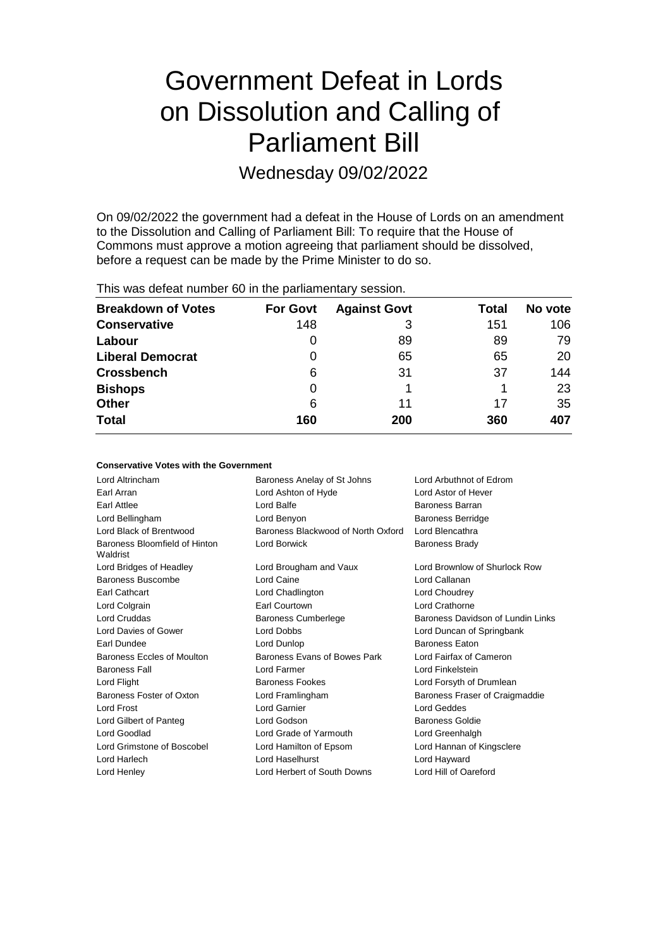# Government Defeat in Lords on Dissolution and Calling of Parliament Bill

Wednesday 09/02/2022

On 09/02/2022 the government had a defeat in the House of Lords on an amendment to the Dissolution and Calling of Parliament Bill: To require that the House of Commons must approve a motion agreeing that parliament should be dissolved, before a request can be made by the Prime Minister to do so.

This was defeat number 60 in the parliamentary session.

| <b>Breakdown of Votes</b> | <b>For Govt</b> | <b>Against Govt</b> | Total | No vote |
|---------------------------|-----------------|---------------------|-------|---------|
| <b>Conservative</b>       | 148             | 3                   | 151   | 106     |
| Labour                    | 0               | 89                  | 89    | 79      |
| <b>Liberal Democrat</b>   | 0               | 65                  | 65    | 20      |
| <b>Crossbench</b>         | 6               | 31                  | 37    | 144     |
| <b>Bishops</b>            | 0               |                     |       | 23      |
| <b>Other</b>              | 6               | 11                  | 17    | 35      |
| <b>Total</b>              | 160             | 200                 | 360   | 407     |

## **Conservative Votes with the Government**

| Lord Altrincham                           | Baroness Anelay of St Johns        | Lord Arbuthnot of Edrom           |
|-------------------------------------------|------------------------------------|-----------------------------------|
| Earl Arran                                | Lord Ashton of Hyde                | Lord Astor of Hever               |
| Earl Attlee                               | Lord Balfe                         | Baroness Barran                   |
| Lord Bellingham                           | Lord Benyon                        | <b>Baroness Berridge</b>          |
| Lord Black of Brentwood                   | Baroness Blackwood of North Oxford | Lord Blencathra                   |
| Baroness Bloomfield of Hinton<br>Waldrist | Lord Borwick                       | <b>Baroness Brady</b>             |
| Lord Bridges of Headley                   | Lord Brougham and Vaux             | Lord Brownlow of Shurlock Row     |
| Baroness Buscombe                         | Lord Caine                         | Lord Callanan                     |
| Earl Cathcart                             | Lord Chadlington                   | Lord Choudrey                     |
| Lord Colgrain                             | Earl Courtown                      | Lord Crathorne                    |
| <b>Lord Cruddas</b>                       | <b>Baroness Cumberlege</b>         | Baroness Davidson of Lundin Links |
| Lord Davies of Gower                      | Lord Dobbs                         | Lord Duncan of Springbank         |
| Earl Dundee                               | Lord Dunlop                        | Baroness Eaton                    |
| Baroness Eccles of Moulton                | Baroness Evans of Bowes Park       | Lord Fairfax of Cameron           |
| <b>Baroness Fall</b>                      | Lord Farmer                        | Lord Finkelstein                  |
| Lord Flight                               | <b>Baroness Fookes</b>             | Lord Forsyth of Drumlean          |
| Baroness Foster of Oxton                  | Lord Framlingham                   | Baroness Fraser of Craigmaddie    |
| Lord Frost                                | Lord Garnier                       | Lord Geddes                       |
| Lord Gilbert of Panteg                    | Lord Godson                        | <b>Baroness Goldie</b>            |
| Lord Goodlad                              | Lord Grade of Yarmouth             | Lord Greenhalgh                   |
| Lord Grimstone of Boscobel                | Lord Hamilton of Epsom             | Lord Hannan of Kingsclere         |
| Lord Harlech                              | Lord Haselhurst                    | Lord Hayward                      |
| Lord Henley                               | Lord Herbert of South Downs        | Lord Hill of Oareford             |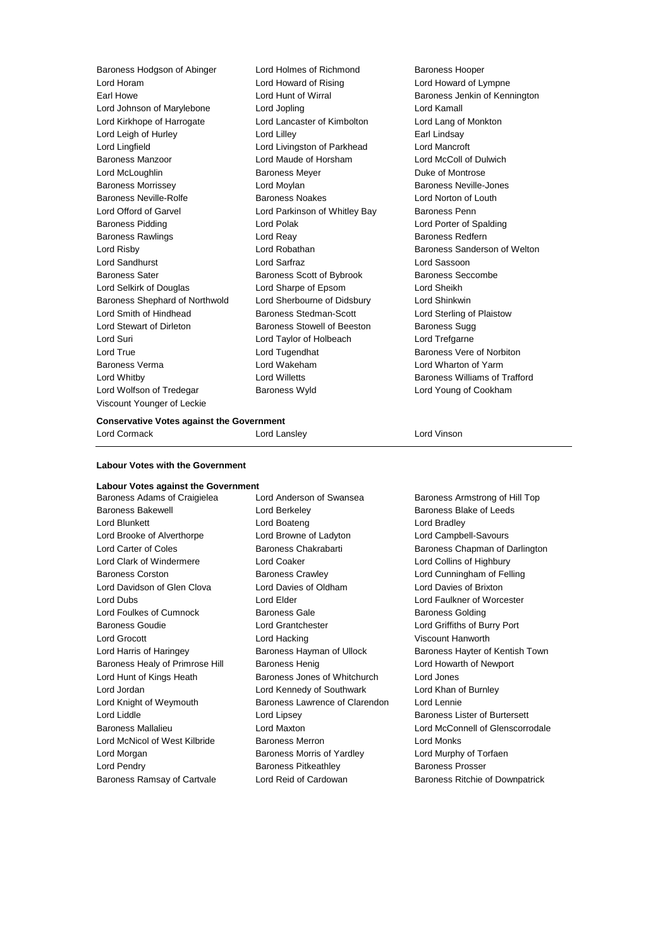Baroness Hodgson of Abinger Lord Holmes of Richmond Baroness Hooper Lord Horam Lord Howard of Rising Lord Howard of Lympne Earl Howe Lord Hunt of Wirral Baroness Jenkin of Kennington Lord Johnson of Marylebone Lord Jopling Lord Kamall Lord Kirkhope of Harrogate Lord Lancaster of Kimbolton Lord Lang of Monkton Lord Leigh of Hurley **Lord Lilley** Lord Lilley **Earl Lindsay** Lord Lingfield Lord Livingston of Parkhead Lord Mancroft Baroness Manzoor Lord Maude of Horsham Lord McColl of Dulwich Lord McLoughlin **Baroness Meyer Duke of Montrose** Baroness Morrissey Lord Moylan Baroness Neville-Jones Baroness Neville-Rolfe **Baroness Noakes** Lord Norton of Louth Lord Offord of Garvel **Lord Parkinson of Whitley Bay** Baroness Penn Baroness Pidding Lord Polak Lord Porter of Spalding Baroness Rawlings **Rawlings Lord Reay 1996 Baroness Redfern** Lord Risby **Lord Robathan Baroness Sanderson of Welton** Lord Sandhurst Lord Sarfraz Lord Sassoon Baroness Sater **Baroness Scott of Bybrook** Baroness Seccombe Lord Selkirk of Douglas Lord Sharpe of Epsom Lord Sheikh Baroness Shephard of Northwold Lord Sherbourne of Didsbury Lord Shinkwin Lord Smith of Hindhead Baroness Stedman-Scott Lord Sterling of Plaistow Lord Stewart of Dirleton **Baroness Stowell of Beeston** Baroness Sugg Lord Suri Lord Taylor of Holbeach Lord Trefgarne Lord True Lord Tugendhat Baroness Vere of Norbiton Baroness Verma Lord Wakeham Lord Wharton of Yarm Lord Whitby Lord Willetts Baroness Williams of Trafford Lord Wolfson of Tredegar **Baroness Wyld** Lord Young of Cookham Viscount Younger of Leckie

# **Conservative Votes against the Government**

Lord Cormack Lord Lansley Lord Vinson

**Labour Votes with the Government**

# **Labour Votes against the Government**

Baroness Bakewell **Baroness** Bakewell **Lord Berkeley Baroness Blake of Leeds** Lord Blunkett **Lord Boateng** Lord Boateng **Lord Bradley** Lord Brooke of Alverthorpe Lord Browne of Ladyton Lord Campbell-Savours Lord Carter of Coles **Baroness Chakrabarti** Baroness Chapman of Darlington Lord Clark of Windermere Lord Coaker Lord Collins of Highbury Baroness Corston Baroness Crawley Lord Cunningham of Felling Lord Davidson of Glen Clova Lord Davies of Oldham Lord Davies of Brixton Lord Dubs Lord Elder Lord Faulkner of Worcester Lord Foulkes of Cumnock **Baroness Gale** Baroness Golding Baroness Golding Baroness Goudie Lord Grantchester Lord Griffiths of Burry Port Lord Grocott Lord Hacking Viscount Hanworth Baroness Healy of Primrose Hill Baroness Henig Lord Howarth of Newport Lord Hunt of Kings Heath Baroness Jones of Whitchurch Lord Jones Lord Jordan Lord Kennedy of Southwark Lord Khan of Burnley Lord Knight of Weymouth Baroness Lawrence of Clarendon Lord Lennie Lord Liddle **Lord Lipsey** Lord Lipsey **Baroness Lister of Burtersett** Lord McNicol of West Kilbride Baroness Merron Lord Monks Lord Morgan **Baroness Morris of Yardley** Lord Murphy of Torfaen Lord Pendry **Baroness Pitkeathley** Baroness Prosser Baroness Ramsay of Cartvale **Lord Reid of Cardowan** Baroness Ritchie of Downpatrick

Baroness Armstrong of Hill Top Lord Harris of Haringey **Baroness Hayman of Ullock** Baroness Hayter of Kentish Town Baroness Mallalieu Lord Maxton Lord McConnell of Glenscorrodale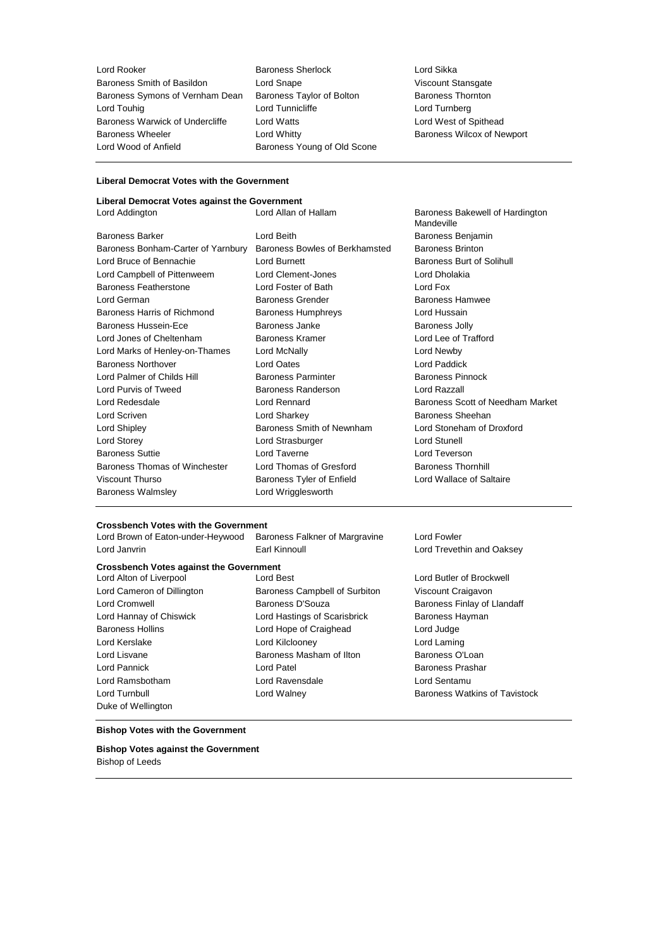Baroness Smith of Basildon Lord Snape<br>
Baroness Symons of Vernham Dean Baroness Taylor of Bolton Baroness Thornton Baroness Symons of Vernham Dean Baroness Taylor of Bolton Baroness Thorness Thorness Thorness Thorness Thornes<br>Lord Tunnicliffe Baroness Lord Turnberg Baroness Warwick of Undercliffe Lord Watts **Lord West of Spithead** Baroness Wheeler **Lord Whitty Baroness Wilcox of Newport Baroness Wilcox of Newport** Lord Wood of Anfield Baroness Young of Old Scone

**Lord Rooker Communist Communist Communist Communist Communist Communist Communist Communist Communist Communist Communist Communist Communist Communist Communist Communist Communist Communist Communist Communist Communist** Lord Tunnicliffe

### **Liberal Democrat Votes with the Government**

# **Liberal Democrat Votes against the Government**

| Eiberar Democrat volco againol inc Oovernment |                                |                                               |
|-----------------------------------------------|--------------------------------|-----------------------------------------------|
| Lord Addington                                | Lord Allan of Hallam           | Baroness Bakewell of Hardington<br>Mandeville |
| Baroness Barker                               | Lord Beith                     | Baroness Benjamin                             |
| Baroness Bonham-Carter of Yarnbury            | Baroness Bowles of Berkhamsted | <b>Baroness Brinton</b>                       |
| Lord Bruce of Bennachie                       | Lord Burnett                   | Baroness Burt of Solihull                     |
| Lord Campbell of Pittenweem                   | Lord Clement-Jones             | Lord Dholakia                                 |
| Baroness Featherstone                         | Lord Foster of Bath            | Lord Fox                                      |
| Lord German                                   | <b>Baroness Grender</b>        | <b>Baroness Hamwee</b>                        |
| Baroness Harris of Richmond                   | <b>Baroness Humphreys</b>      | Lord Hussain                                  |
| Baroness Hussein-Ece                          | Baroness Janke                 | <b>Baroness Jolly</b>                         |
| Lord Jones of Cheltenham                      | <b>Baroness Kramer</b>         | Lord Lee of Trafford                          |
| Lord Marks of Henley-on-Thames                | Lord McNally                   | Lord Newby                                    |
| <b>Baroness Northover</b>                     | Lord Oates                     | Lord Paddick                                  |
| Lord Palmer of Childs Hill                    | <b>Baroness Parminter</b>      | <b>Baroness Pinnock</b>                       |
| Lord Purvis of Tweed                          | <b>Baroness Randerson</b>      | Lord Razzall                                  |
| Lord Redesdale                                | Lord Rennard                   | Baroness Scott of Needham Market              |
| Lord Scriven                                  | Lord Sharkey                   | Baroness Sheehan                              |
| Lord Shipley                                  | Baroness Smith of Newnham      | Lord Stoneham of Droxford                     |
| Lord Storey                                   | Lord Strasburger               | <b>Lord Stunell</b>                           |
| <b>Baroness Suttie</b>                        | Lord Taverne                   | Lord Teverson                                 |
| Baroness Thomas of Winchester                 | Lord Thomas of Gresford        | <b>Baroness Thornhill</b>                     |
| Viscount Thurso                               | Baroness Tyler of Enfield      | Lord Wallace of Saltaire                      |
| Baroness Walmsley                             | Lord Wrigglesworth             |                                               |
|                                               |                                |                                               |

#### **Crossbench Votes with the Government**

| Lord Brown of Eaton-under-Heywood              | Baroness Falkner of Margravine | Lord Fowler                          |
|------------------------------------------------|--------------------------------|--------------------------------------|
| Lord Janvrin                                   | Earl Kinnoull                  | Lord Trevethin and Oaksey            |
| <b>Crossbench Votes against the Government</b> |                                |                                      |
| Lord Alton of Liverpool                        | Lord Best                      | Lord Butler of Brockwell             |
| Lord Cameron of Dillington                     | Baroness Campbell of Surbiton  | Viscount Craigavon                   |
| Lord Cromwell                                  | Baroness D'Souza               | Baroness Finlay of Llandaff          |
| Lord Hannay of Chiswick                        | Lord Hastings of Scarisbrick   | Baroness Hayman                      |
| <b>Baroness Hollins</b>                        | Lord Hope of Craighead         | Lord Judge                           |
| Lord Kerslake                                  | Lord Kilclooney                | Lord Laming                          |
| Lord Lisvane                                   | Baroness Masham of Ilton       | Baroness O'Loan                      |
| Lord Pannick                                   | Lord Patel                     | <b>Baroness Prashar</b>              |
| Lord Ramsbotham                                | Lord Ravensdale                | Lord Sentamu                         |
| Lord Turnbull                                  | Lord Walney                    | <b>Baroness Watkins of Tavistock</b> |
| Duke of Wellington                             |                                |                                      |

#### **Bishop Votes with the Government**

#### **Bishop Votes against the Government** Bishop of Leeds